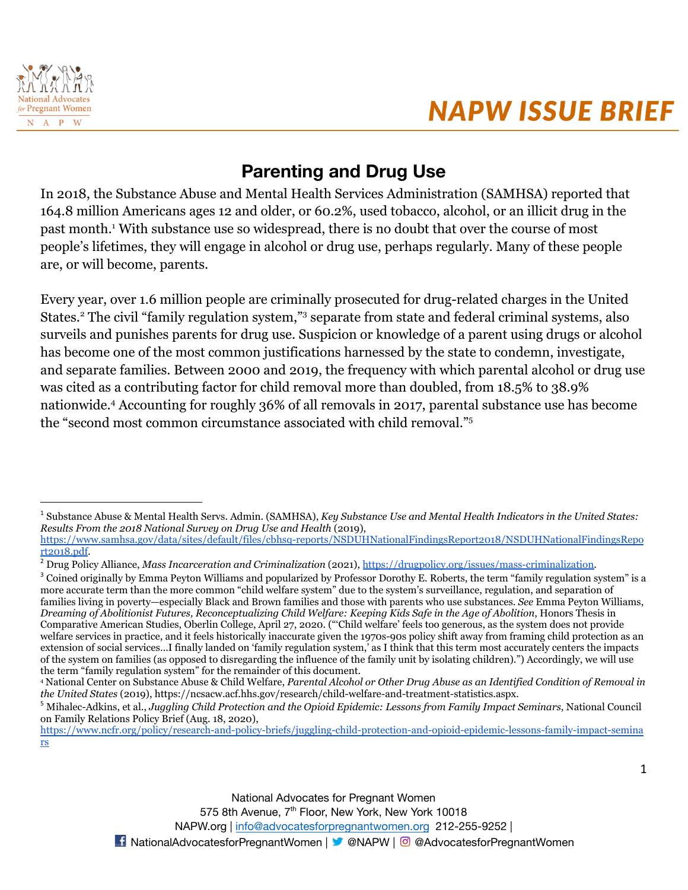

# **Parenting and Drug Use**

In 2018, the Substance Abuse and Mental Health Services Administration (SAMHSA) reported that 164.8 million Americans ages 12 and older, or 60.2%, used tobacco, alcohol, or an illicit drug in the past month.<sup>1</sup> With substance use so widespread, there is no doubt that over the course of most people's lifetimes, they will engage in alcohol or drug use, perhaps regularly. Many of these people are, or will become, parents.

Every year, over 1.6 million people are criminally prosecuted for drug-related charges in the United States.<sup>2</sup> The civil "family regulation system,"<sup>3</sup> separate from state and federal criminal systems, also surveils and punishes parents for drug use. Suspicion or knowledge of a parent using drugs or alcohol has become one of the most common justifications harnessed by the state to condemn, investigate, and separate families. Between 2000 and 2019, the frequency with which parental alcohol or drug use was cited as a contributing factor for child removal more than doubled, from 18.5% to 38.9% nationwide.<sup>4</sup> Accounting for roughly 36% of all removals in 2017, parental substance use has become the "second most common circumstance associated with child removal."<sup>5</sup>

<sup>3</sup> Coined originally by Emma Peyton Williams and popularized by Professor Dorothy E. Roberts, the term "family regulation system" is a more accurate term than the more common "child welfare system" due to the system's surveillance, regulation, and separation of families living in poverty—especially Black and Brown families and those with parents who use substances. *See* Emma Peyton Williams, *Dreaming of Abolitionist Futures, Reconceptualizing Child Welfare: Keeping Kids Safe in the Age of Abolition*, Honors Thesis in Comparative American Studies, Oberlin College, April 27, 2020. ("'Child welfare' feels too generous, as the system does not provide welfare services in practice, and it feels historically inaccurate given the 1970s-90s policy shift away from framing child protection as an extension of social services…I finally landed on 'family regulation system,' as I think that this term most accurately centers the impacts of the system on families (as opposed to disregarding the influence of the family unit by isolating children).") Accordingly, we will use the term "family regulation system" for the remainder of this document.

[https://www.ncfr.org/policy/research-and-policy-briefs/juggling-child-protection-and-opioid-epidemic-lessons-family-impact-semina](https://www.ncfr.org/policy/research-and-policy-briefs/juggling-child-protection-and-opioid-epidemic-lessons-family-impact-seminars) [rs](https://www.ncfr.org/policy/research-and-policy-briefs/juggling-child-protection-and-opioid-epidemic-lessons-family-impact-seminars)

<sup>1</sup> Substance Abuse & Mental Health Servs. Admin. (SAMHSA), *Key Substance Use and Mental Health Indicators in the United States: Results From the 2018 National Survey on Drug Use and Health* (2019), [https://www.samhsa.gov/data/sites/default/files/cbhsq-reports/NSDUHNationalFindingsReport2018/NSDUHNationalFindingsRepo](https://www.samhsa.gov/data/sites/default/files/cbhsq-reports/NSDUHNationalFindingsReport2018/NSDUHNationalFindingsReport2018.pdf)

[rt2018.pdf](https://www.samhsa.gov/data/sites/default/files/cbhsq-reports/NSDUHNationalFindingsReport2018/NSDUHNationalFindingsReport2018.pdf).

<sup>2</sup> Drug Policy Alliance, *Mass Incarceration and Criminalization* (2021), [https://drugpolicy.org/issues/mass-criminalization.](https://drugpolicy.org/issues/mass-criminalization)

<sup>4</sup> National Center on Substance Abuse & Child Welfare, *Parental Alcohol or Other Drug Abuse as an Identified Condition of Removal in the United States* (2019), https://ncsacw.acf.hhs.gov/research/child-welfare-and-treatment-statistics.aspx.

<sup>5</sup> Mihalec-Adkins, et al., *Juggling Child Protection and the Opioid Epidemic: Lessons from Family Impact Seminars*, National Council on Family Relations Policy Brief (Aug. 18, 2020),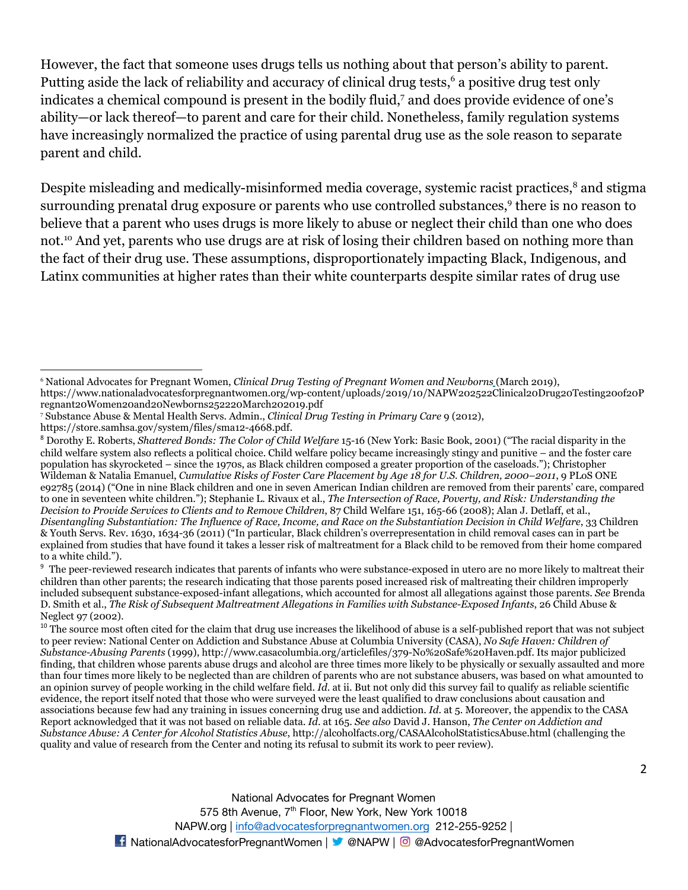However, the fact that someone uses drugs tells us nothing about that person's ability to parent. Putting aside the lack of reliability and accuracy of clinical drug tests,<sup>6</sup> a positive drug test only indicates a chemical compound is present in the bodily fluid,<sup>7</sup> and does provide evidence of one's ability—or lack thereof—to parent and care for their child. Nonetheless, family regulation systems have increasingly normalized the practice of using parental drug use as the sole reason to separate parent and child.

Despite misleading and medically-misinformed media coverage, systemic racist practices,<sup>8</sup> and stigma surrounding prenatal drug exposure or parents who use controlled substances,<sup>9</sup> there is no reason to believe that a parent who uses drugs is more likely to abuse or neglect their child than one who does not.<sup>10</sup> And yet, parents who use drugs are at risk of losing their children based on nothing more than the fact of their drug use. These assumptions, disproportionately impacting Black, Indigenous, and Latinx communities at higher rates than their white counterparts despite similar rates of drug use

<sup>9</sup> The peer-reviewed research indicates that parents of infants who were substance-exposed in utero are no more likely to maltreat their children than other parents; the research indicating that those parents posed increased risk of maltreating their children improperly included subsequent substance-exposed-infant allegations, which accounted for almost all allegations against those parents. *See* Brenda D. Smith et al., *The Risk of Subsequent Maltreatment Allegations in Families with Substance-Exposed Infants*, 26 Child Abuse & Neglect 97 (2002).

<sup>10</sup> The source most often cited for the claim that drug use increases the likelihood of abuse is a self-published report that was not subject to peer review: National Center on Addiction and Substance Abuse at Columbia University (CASA), *No Safe Haven: Children of Substance-Abusing Parents* (1999), http://www.casacolumbia.org/articlefiles/379-No%20Safe%20Haven.pdf. Its major publicized finding, that children whose parents abuse drugs and alcohol are three times more likely to be physically or sexually assaulted and more than four times more likely to be neglected than are children of parents who are not substance abusers, was based on what amounted to an opinion survey of people working in the child welfare field. *Id*. at ii. But not only did this survey fail to qualify as reliable scientific evidence, the report itself noted that those who were surveyed were the least qualified to draw conclusions about causation and associations because few had any training in issues concerning drug use and addiction. *Id*. at 5. Moreover, the appendix to the CASA Report acknowledged that it was not based on reliable data. *Id*. at 165. *See also* David J. Hanson, *The Center on Addiction and Substance Abuse: A Center for Alcohol Statistics Abuse*, http://alcoholfacts.org/CASAAlcoholStatisticsAbuse.html (challenging the quality and value of research from the Center and noting its refusal to submit its work to peer review).

<sup>6</sup> National Advocates for Pregnant Women, *Clinical Drug Testing of Pregnant Women and Newborns* (March 2019),

https://www.nationaladvocatesforpregnantwomen.org/wp-content/uploads/2019/10/NAPW202522Clinical20Drug20Testing20of20P regnant20Women20and20Newborns252220March202019.pdf

<sup>7</sup> Substance Abuse & Mental Health Servs. Admin., *Clinical Drug Testing in Primary Care* 9 (2012),

https://store.samhsa.gov/system/files/sma12-4668.pdf.

<sup>8</sup> Dorothy E. Roberts, *Shattered Bonds: The Color of Child Welfare* 15-16 (New York: Basic Book, 2001) ("The racial disparity in the child welfare system also reflects a political choice. Child welfare policy became increasingly stingy and punitive – and the foster care population has skyrocketed – since the 1970s, as Black children composed a greater proportion of the caseloads."); Christopher Wildeman & Natalia Emanuel, *Cumulative Risks of Foster Care Placement by Age 18 for U.S. Children, 2000–2011*, 9 PLoS ONE e92785 (2014) ("One in nine Black children and one in seven American Indian children are removed from their parents' care, compared to one in seventeen white children."); Stephanie L. Rivaux et al., *The Intersection of Race, Poverty, and Risk: Understanding the Decision to Provide Services to Clients and to Remove Children*, 87 Child Welfare 151, 165-66 (2008); Alan J. Detlaff, et al., *Disentangling Substantiation: The Influence of Race, Income, and Race on the Substantiation Decision in Child Welfare*, 33 Children & Youth Servs. Rev. 1630, 1634-36 (2011) ("In particular, Black children's overrepresentation in child removal cases can in part be explained from studies that have found it takes a lesser risk of maltreatment for a Black child to be removed from their home compared to a white child.").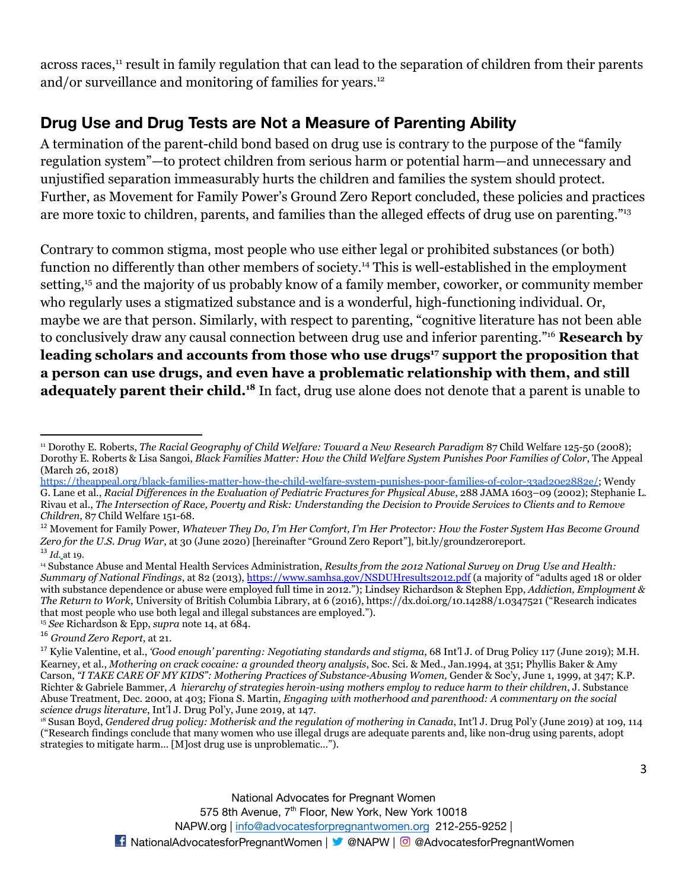across races,<sup>11</sup> result in family regulation that can lead to the separation of children from their parents and/or surveillance and monitoring of families for years.<sup>12</sup>

### **Drug Use and Drug Tests are Not a Measure of Parenting Ability**

A termination of the parent-child bond based on drug use is contrary to the purpose of the "family regulation system"—to protect children from serious harm or potential harm—and unnecessary and unjustified separation immeasurably hurts the children and families the system should protect. Further, as Movement for Family Power's Ground Zero Report concluded, these policies and practices are more toxic to children, parents, and families than the alleged effects of drug use on parenting."<sup>13</sup>

Contrary to common stigma, most people who use either legal or prohibited substances (or both) function no differently than other members of society.<sup>14</sup> This is well-established in the employment setting,<sup>15</sup> and the majority of us probably know of a family member, coworker, or community member who regularly uses a stigmatized substance and is a wonderful, high-functioning individual. Or, maybe we are that person. Similarly, with respect to parenting, "cognitive literature has not been able to conclusively draw any causal connection between drug use and inferior parenting."<sup>16</sup> **Research by leading scholars and accounts from those who use drugs<sup>17</sup> support the proposition that a person can use drugs, and even have a problematic relationship with them, and still adequately parent their child.<sup>18</sup>** In fact, drug use alone does not denote that a parent is unable to

<sup>11</sup> Dorothy E. Roberts, *The Racial Geography of Child Welfare: Toward a New Research Paradigm* 87 Child Welfare 125-50 (2008); Dorothy E. Roberts & Lisa Sangoi, *Black Families Matter: How the Child Welfare System Punishes Poor Families of Color*, The Appeal (March 26, 2018[\)](https://theappeal.org/black-families-matter-how-the-child-welfare-system-punishes-poor-families-of-color-33ad20e2882e/)

[https://theappeal.org/black-families-matter-how-the-child-welfare-system-punishes-poor-families-of-color-33ad20e2882e/;](https://theappeal.org/black-families-matter-how-the-child-welfare-system-punishes-poor-families-of-color-33ad20e2882e/) Wendy G. Lane et al., *Racial Differences in the Evaluation of Pediatric Fractures for Physical Abuse*, 288 JAMA 1603–09 (2002); Stephanie L. Rivau et al., *The Intersection of Race, Poverty and Risk: Understanding the Decision to Provide Services to Clients and to Remove Children*, 87 Child Welfare 151-68.

<sup>13</sup> *Id.* at 19. <sup>12</sup> Movement for Family Power, *Whatever They Do, I'm Her Comfort, I'm Her Protector: How the Foster System Has Become Ground Zero for the U.S. Drug War*, at 30 (June 2020) [hereinafter "Ground Zero Report"], bit.ly/groundzeroreport.

<sup>15</sup> *See* Richardson & Epp, *supra* note 14, at 684. <sup>14</sup> Substance Abuse and Mental Health Services Administration, *Results from the 2012 National Survey on Drug Use and Health: Summary of National Findings*, at 82 (2013), [https://www.samhsa.gov/NSDUHresults2012.pdf](https://www.samhsa.gov/data/sites/default/files/NSDUHresults2012/NSDUHresults2012.pdf) (a majority of "adults aged 18 or older with substance dependence or abuse were employed full time in 2012."); Lindsey Richardson & Stephen Epp, *Addiction, Employment & The Return to Work*, University of British Columbia Library, at 6 (2016), https://dx.doi.org/10.14288/1.0347521 ("Research indicates that most people who use both legal and illegal substances are employed.").

<sup>16</sup> *Ground Zero Report*, at 21.

<sup>17</sup> Kylie Valentine, et al., *'Good enough' parenting: Negotiating standards and stigma*, 68 Int'l J. of Drug Policy 117 (June 2019); M.H. Kearney, et al., *Mothering on crack cocaine: a grounded theory analysis*, Soc. Sci. & Med., Jan.1994, at 351; Phyllis Baker & Amy Carson, *"I TAKE CARE OF MY KIDS": Mothering Practices of Substance-Abusing Women,* Gender & Soc'y, June 1, 1999, at 347; K.P. Richter & Gabriele Bammer, *A hierarchy of strategies heroin-using mothers employ to reduce harm to their children*, J. Substance Abuse Treatment, Dec. 2000, at 403; Fiona S. Martin, *Engaging with motherhood and parenthood: A commentary on the social science drugs literature*, Int'l J. Drug Pol'y, June 2019, at 147.

<sup>&</sup>lt;sup>18</sup> Susan Boyd, *Gendered drug policy: Motherisk and the regulation of mothering in Canada*, Int'l J. Drug Pol'y (June 2019) at 109, 114 ("Research findings conclude that many women who use illegal drugs are adequate parents and, like non-drug using parents, adopt strategies to mitigate harm… [M]ost drug use is unproblematic…").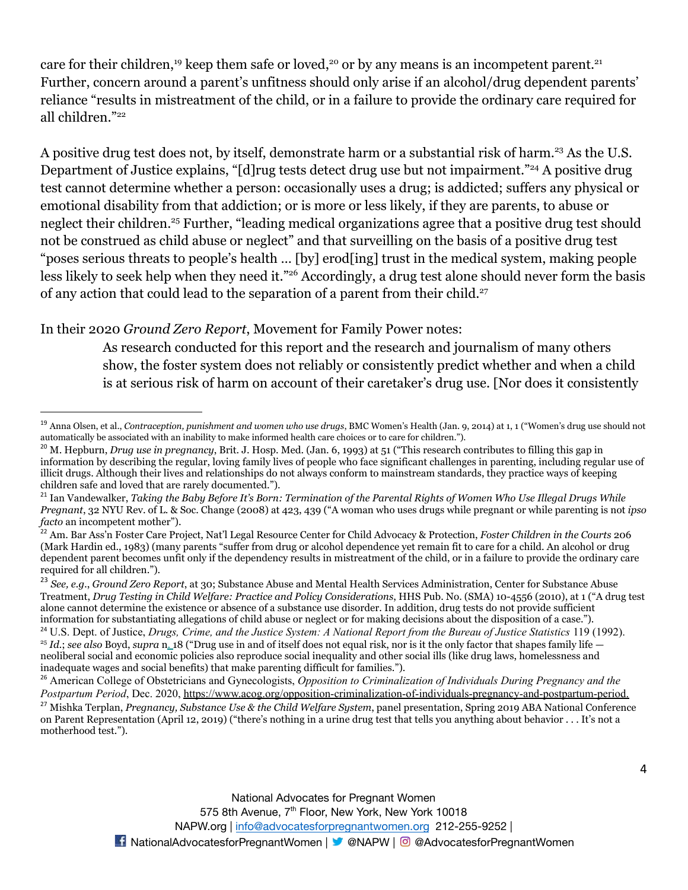care for their children,<sup>19</sup> keep them safe or loved,<sup>20</sup> or by any means is an incompetent parent.<sup>21</sup> Further, concern around a parent's unfitness should only arise if an alcohol/drug dependent parents' reliance "results in mistreatment of the child, or in a failure to provide the ordinary care required for all children."<sup>22</sup>

A positive drug test does not, by itself, demonstrate harm or a substantial risk of harm.<sup>23</sup> As the U.S. Department of Justice explains, "[d]rug tests detect drug use but not impairment."<sup>24</sup> A positive drug test cannot determine whether a person: occasionally uses a drug; is addicted; suffers any physical or emotional disability from that addiction; or is more or less likely, if they are parents, to abuse or neglect their children.<sup>25</sup> Further, "leading medical organizations agree that a positive drug test should not be construed as child abuse or neglect" and that surveilling on the basis of a positive drug test "poses serious threats to people's health … [by] erod[ing] trust in the medical system, making people less likely to seek help when they need it."<sup>26</sup> Accordingly, a drug test alone should never form the basis of any action that could lead to the separation of a parent from their child.<sup>27</sup>

#### In their 2020 *Ground Zero Report*, Movement for Family Power notes:

As research conducted for this report and the research and journalism of many others show, the foster system does not reliably or consistently predict whether and when a child is at serious risk of harm on account of their caretaker's drug use. [Nor does it consistently

<sup>19</sup> Anna Olsen, et al., *Contraception, punishment and women who use drugs*, BMC Women's Health (Jan. 9, 2014) at 1, 1 ("Women's drug use should not automatically be associated with an inability to make informed health care choices or to care for children.").

<sup>20</sup> M. Hepburn, *Drug use in pregnancy*, Brit. J. Hosp. Med. (Jan. 6, 1993) at 51 ("This research contributes to filling this gap in information by describing the regular, loving family lives of people who face significant challenges in parenting, including regular use of illicit drugs. Although their lives and relationships do not always conform to mainstream standards, they practice ways of keeping children safe and loved that are rarely documented.").

<sup>21</sup> Ian Vandewalker, *Taking the Baby Before It's Born: Termination of the Parental Rights of Women Who Use Illegal Drugs While Pregnant*, 32 NYU Rev. of L. & Soc. Change (2008) at 423, 439 ("A woman who uses drugs while pregnant or while parenting is not *ipso facto* an incompetent mother").

<sup>22</sup> Am. Bar Ass'n Foster Care Project, Nat'l Legal Resource Center for Child Advocacy & Protection, *Foster Children in the Courts* 206 (Mark Hardin ed., 1983) (many parents "suffer from drug or alcohol dependence yet remain fit to care for a child. An alcohol or drug dependent parent becomes unfit only if the dependency results in mistreatment of the child, or in a failure to provide the ordinary care required for all children.").

<sup>23</sup> *See, e.g.*, *Ground Zero Report*, at 30; Substance Abuse and Mental Health Services Administration, Center for Substance Abuse Treatment, *Drug Testing in Child Welfare: Practice and Policy Considerations*, HHS Pub. No. (SMA) 10-4556 (2010), at 1 ("A drug test alone cannot determine the existence or absence of a substance use disorder. In addition, drug tests do not provide sufficient information for substantiating allegations of child abuse or neglect or for making decisions about the disposition of a case.").

<sup>25</sup> *Id.*; *see also* Boyd, *supra* n. 18 ("Drug use in and of itself does not equal risk, nor is it the only factor that shapes family life neoliberal social and economic policies also reproduce social inequality and other social ills (like drug laws, homelessness and inadequate wages and social benefits) that make parenting difficult for families."). <sup>24</sup> U.S. Dept. of Justice, *Drugs, Crime, and the Justice System: A National Report from the Bureau of Justice Statistics 119 (1992).* 

<sup>26</sup> American College of Obstetricians and Gynecologists, *Opposition to Criminalization of Individuals During Pregnancy and the Postpartum Period*, Dec. 2020, [https://www.acog.org/opposition-criminalization-of-individuals-pregnancy-and-postpartum-period](https://www.acog.org/clinical-information/policy-and-position-statements/statements-of-policy/2020/opposition-criminalization-of-individuals-pregnancy-and-postpartum-period#:~:text=ACOG%20believes%20that%20it%20is,the%20postpartum%20period%20(11).).

<sup>27</sup> Mishka Terplan, *Pregnancy, Substance Use & the Child Welfare System*, panel presentation, Spring 2019 ABA National Conference on Parent Representation (April 12, 2019) ("there's nothing in a urine drug test that tells you anything about behavior . . . It's not a motherhood test.").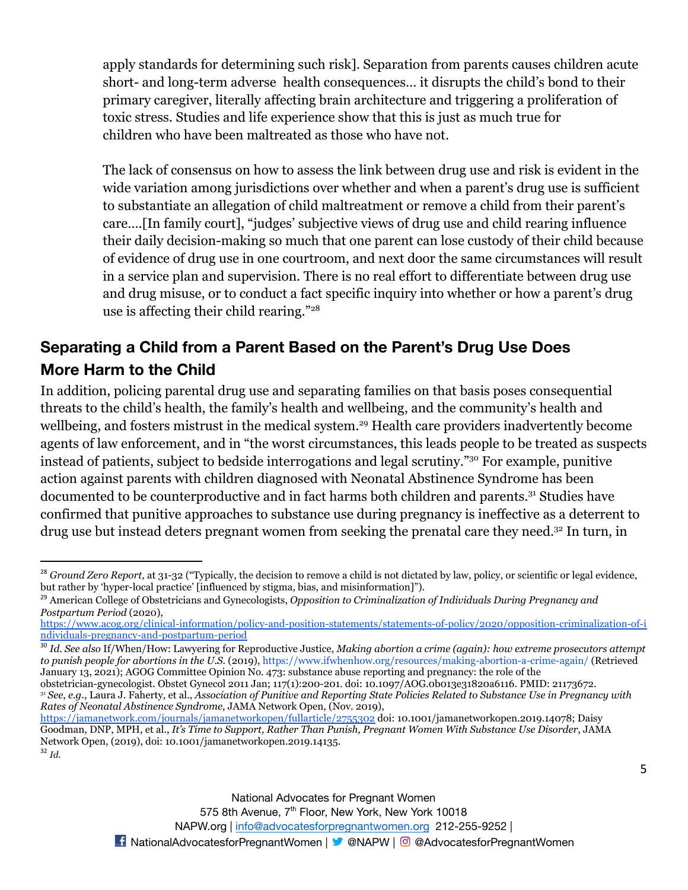apply standards for determining such risk]. Separation from parents causes children acute short- and long-term adverse health consequences… it disrupts the child's bond to their primary caregiver, literally affecting brain architecture and triggering a proliferation of toxic stress. Studies and life experience show that this is just as much true for children who have been maltreated as those who have not.

The lack of consensus on how to assess the link between drug use and risk is evident in the wide variation among jurisdictions over whether and when a parent's drug use is sufficient to substantiate an allegation of child maltreatment or remove a child from their parent's care….[In family court], "judges' subjective views of drug use and child rearing influence their daily decision-making so much that one parent can lose custody of their child because of evidence of drug use in one courtroom, and next door the same circumstances will result in a service plan and supervision. There is no real effort to differentiate between drug use and drug misuse, or to conduct a fact specific inquiry into whether or how a parent's drug use is affecting their child rearing."<sup>28</sup>

# **Separating a Child from a Parent Based on the Parent's Drug Use Does More Harm to the Child**

In addition, policing parental drug use and separating families on that basis poses consequential threats to the child's health, the family's health and wellbeing, and the community's health and wellbeing, and fosters mistrust in the medical system.<sup>29</sup> Health care providers inadvertently become agents of law enforcement, and in "the worst circumstances, this leads people to be treated as suspects instead of patients, subject to bedside interrogations and legal scrutiny."<sup>30</sup> For example, punitive action against parents with children diagnosed with Neonatal Abstinence Syndrome has been documented to be counterproductive and in fact harms both children and parents.<sup>31</sup> Studies have confirmed that punitive approaches to substance use during pregnancy is ineffective as a deterrent to drug use but instead deters pregnant women from seeking the prenatal care they need.<sup>32</sup> In turn, in

<sup>30</sup> *Id*. *See also* If/When/How: Lawyering for Reproductive Justice, *Making abortion a crime (again): how extreme prosecutors attempt to punish people for abortions in the U.S.* (2019), <https://www.ifwhenhow.org/resources/making-abortion-a-crime-again/> (Retrieved January 13, 2021); AGOG Committee Opinion No. 473: substance abuse reporting and pregnancy: the role of the

<sup>31</sup> *See*, *e.g*., Laura J. Faherty, et al., *Association of Punitive and Reporting State Policies Related to Substance Use in Pregnancy with Rates of Neonatal Abstinence Syndrome*, JAMA Network Open, (Nov. 2019)[,](https://jamanetwork.com/journals/jamanetworkopen/fullarticle/2755302) obstetrician-gynecologist. Obstet Gynecol 2011 Jan; 117(1):200-201. doi: 10.1097/AOG.0b013e31820a6116. PMID: 21173672.

<sup>&</sup>lt;sup>28</sup> *Ground Zero Report*, at 31-32 ("Typically, the decision to remove a child is not dictated by law, policy, or scientific or legal evidence, but rather by 'hyper-local practice' [influenced by stigma, bias, and misinformation]").

<sup>29</sup> American College of Obstetricians and Gynecologists, *Opposition to Criminalization of Individuals During Pregnancy and Postpartum Period* (2020)[,](https://www.acog.org/clinical-information/policy-and-position-statements/statements-of-policy/2020/opposition-criminalization-of-individuals-pregnancy-and-postpartum-period)

[https://www.acog.org/clinical-information/policy-and-position-statements/statements-of-policy/2020/opposition-criminalization-of-i](https://www.acog.org/clinical-information/policy-and-position-statements/statements-of-policy/2020/opposition-criminalization-of-individuals-pregnancy-and-postpartum-period) [ndividuals-pregnancy-and-postpartum-period](https://www.acog.org/clinical-information/policy-and-position-statements/statements-of-policy/2020/opposition-criminalization-of-individuals-pregnancy-and-postpartum-period)

<sup>32</sup> *Id.* <https://jamanetwork.com/journals/jamanetworkopen/fullarticle/2755302> doi: 10.1001/jamanetworkopen.2019.14078; Daisy Goodman, DNP, MPH, et al., *It's Time to Support, Rather Than Punish, Pregnant Women With Substance Use Disorder*, JAMA Network Open, (2019), doi: 10.1001/jamanetworkopen.2019.14135.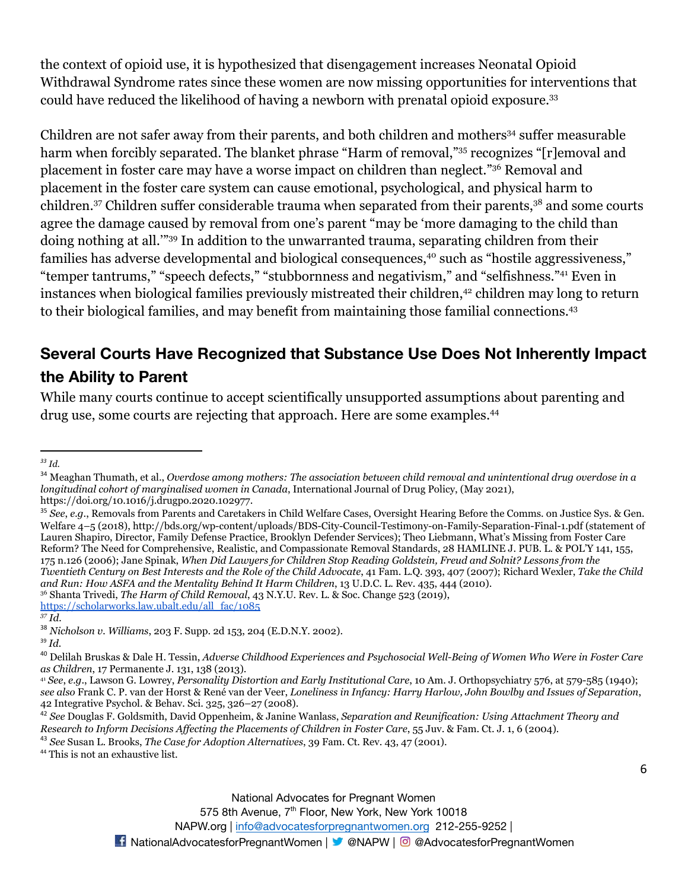the context of opioid use, it is hypothesized that disengagement increases Neonatal Opioid Withdrawal Syndrome rates since these women are now missing opportunities for interventions that could have reduced the likelihood of having a newborn with prenatal opioid exposure.<sup>33</sup>

Children are not safer away from their parents, and both children and mothers<sup>34</sup> suffer measurable harm when forcibly separated. The blanket phrase "Harm of removal,"<sup>35</sup> recognizes "[r]emoval and placement in foster care may have a worse impact on children than neglect."<sup>36</sup> Removal and placement in the foster care system can cause emotional, psychological, and physical harm to children.<sup>37</sup> Children suffer considerable trauma when separated from their parents,<sup>38</sup> and some courts agree the damage caused by removal from one's parent "may be 'more damaging to the child than doing nothing at all.'"<sup>39</sup> In addition to the unwarranted trauma, separating children from their families has adverse developmental and biological consequences,<sup>40</sup> such as "hostile aggressiveness," "temper tantrums," "speech defects," "stubbornness and negativism," and "selfishness."<sup>41</sup> Even in instances when biological families previously mistreated their children,<sup>42</sup> children may long to return to their biological families, and may benefit from maintaining those familial connections.<sup>43</sup>

# **Several Courts Have Recognized that Substance Use Does Not Inherently Impact the Ability to Parent**

While many courts continue to accept scientifically unsupported assumptions about parenting and drug use, some courts are rejecting that approach. Here are some examples.<sup>44</sup>

[https://scholarworks.law.ubalt.edu/all\\_fac/1085](https://scholarworks.law.ubalt.edu/all_fac/1085)

<sup>44</sup> This is not an exhaustive list.

*<sup>33</sup> Id.*

<sup>34</sup> Meaghan Thumath, et al., *Overdose among mothers: The association between child removal and unintentional drug overdose in a longitudinal cohort of marginalised women in Canada*, International Journal of Drug Policy, (May 2021), https://doi.org/10.1016/j.drugpo.2020.102977.

<sup>36</sup> Shanta Trivedi, *The Harm of Child Removal*, 43 N.Y.U. Rev. L. & Soc. Change 523 (2019)[,](https://scholarworks.law.ubalt.edu/all_fac/1085) <sup>35</sup> *See*, *e.g*., Removals from Parents and Caretakers in Child Welfare Cases, Oversight Hearing Before the Comms. on Justice Sys. & Gen. Welfare 4–5 (2018), http://bds.org/wp-content/uploads/BDS-City-Council-Testimony-on-Family-Separation-Final-1.pdf (statement of Lauren Shapiro, Director, Family Defense Practice, Brooklyn Defender Services); Theo Liebmann, What's Missing from Foster Care Reform? The Need for Comprehensive, Realistic, and Compassionate Removal Standards, 28 HAMLINE J. PUB. L. & POL'Y 141, 155, 175 n.126 (2006); Jane Spinak, *When Did Lawyers for Children Stop Reading Goldstein, Freud and Solnit? Lessons from the Twentieth Century on Best Interests and the Role of the Child Advocate*, 41 Fam. L.Q. 393, 407 (2007); Richard Wexler, *Take the Child and Run: How ASFA and the Mentality Behind It Harm Children*, 13 U.D.C. L. Rev. 435, 444 (2010).

*<sup>37</sup> Id.*

<sup>38</sup> *Nicholson v. Williams*, 203 F. Supp. 2d 153, 204 (E.D.N.Y. 2002).

<sup>39</sup> *Id.*

<sup>40</sup> Delilah Bruskas & Dale H. Tessin, *Adverse Childhood Experiences and Psychosocial Well-Being of Women Who Were in Foster Care as Children*, 17 Permanente J. 131, 138 (2013).

<sup>41</sup> *See*, *e.g*., Lawson G. Lowrey, *Personality Distortion and Early Institutional Care*, 10 Am. J. Orthopsychiatry 576, at 579-585 (1940); *see also* Frank C. P. van der Horst & René van der Veer, *Loneliness in Infancy: Harry Harlow, John Bowlby and Issues of Separation*, 42 Integrative Psychol. & Behav. Sci. 325, 326–27 (2008).

<sup>42</sup> *See* Douglas F. Goldsmith, David Oppenheim, & Janine Wanlass, *Separation and Reunification: Using Attachment Theory and Research to Inform Decisions Affecting the Placements of Children in Foster Care*, 55 Juv. & Fam. Ct. J. 1, 6 (2004).

<sup>43</sup> *See* Susan L. Brooks, *The Case for Adoption Alternatives*, 39 Fam. Ct. Rev. 43, 47 (2001).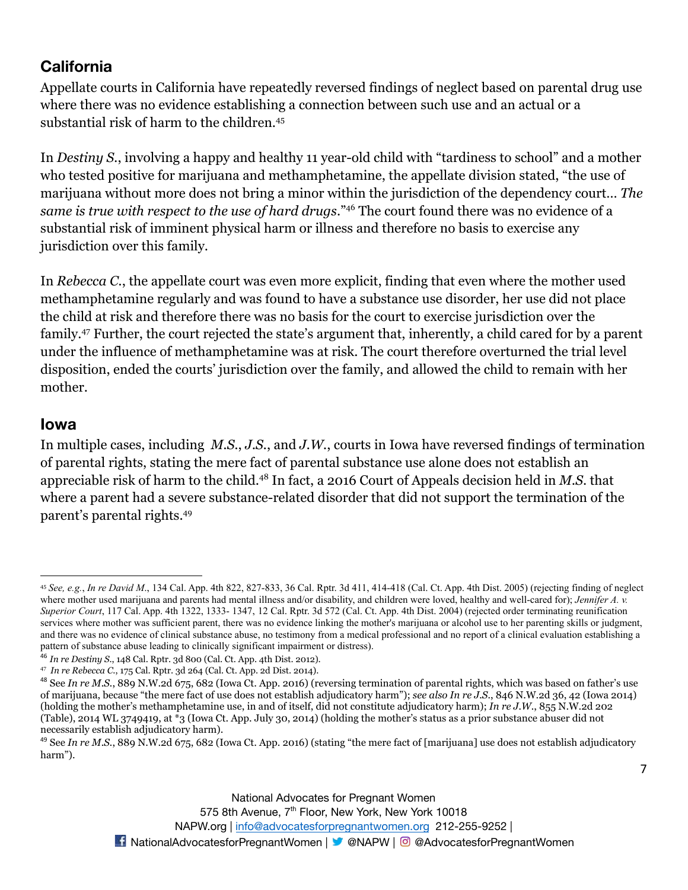## **California**

Appellate courts in California have repeatedly reversed findings of neglect based on parental drug use where there was no evidence establishing a connection between such use and an actual or a substantial risk of harm to the children.<sup>45</sup>

In *Destiny S.*, involving a happy and healthy 11 year-old child with "tardiness to school" and a mother who tested positive for marijuana and methamphetamine, the appellate division stated, "the use of marijuana without more does not bring a minor within the jurisdiction of the dependency court… *The same is true with respect to the use of hard drugs*."<sup>46</sup> The court found there was no evidence of a substantial risk of imminent physical harm or illness and therefore no basis to exercise any jurisdiction over this family.

In *Rebecca C.*, the appellate court was even more explicit, finding that even where the mother used methamphetamine regularly and was found to have a substance use disorder, her use did not place the child at risk and therefore there was no basis for the court to exercise jurisdiction over the family.<sup>47</sup> Further, the court rejected the state's argument that, inherently, a child cared for by a parent under the influence of methamphetamine was at risk. The court therefore overturned the trial level disposition, ended the courts' jurisdiction over the family, and allowed the child to remain with her mother.

#### **Iowa**

In multiple cases, including *M.S.*, *J.S.*, and *J.W.*, courts in Iowa have reversed findings of termination of parental rights, stating the mere fact of parental substance use alone does not establish an appreciable risk of harm to the child.<sup>48</sup> In fact, a 2016 Court of Appeals decision held in *M.S*. that where a parent had a severe substance-related disorder that did not support the termination of the parent's parental rights.<sup>49</sup>

<sup>45</sup> *See, e.g.*, *In re David M*., 134 Cal. App. 4th 822, 827-833, 36 Cal. Rptr. 3d 411, 414-418 (Cal. Ct. App. 4th Dist. 2005) (rejecting finding of neglect where mother used marijuana and parents had mental illness and/or disability, and children were loved, healthy and well-cared for); *Jennifer A. v. Superior Court*, 117 Cal. App. 4th 1322, 1333- 1347, 12 Cal. Rptr. 3d 572 (Cal. Ct. App. 4th Dist. 2004) (rejected order terminating reunification services where mother was sufficient parent, there was no evidence linking the mother's marijuana or alcohol use to her parenting skills or judgment, and there was no evidence of clinical substance abuse, no testimony from a medical professional and no report of a clinical evaluation establishing a pattern of substance abuse leading to clinically significant impairment or distress).

<sup>46</sup> *In re Destiny S*., 148 Cal. Rptr. 3d 800 (Cal. Ct. App. 4th Dist. 2012).

<sup>47</sup> *In re Rebecca C*., 175 Cal. Rptr. 3d 264 (Cal. Ct. App. 2d Dist. 2014).

<sup>48</sup> Se[e](https://1.next.westlaw.com/Link/Document/FullText?findType=Y&serNum=2040181168&pubNum=0000595&originatingDoc=Iea3ca440572511e98c7a8e995225dbf9&refType=RP&fi=co_pp_sp_595_682&originationContext=document&transitionType=DocumentItem&contextData=(sc.Keycite)#co_pp_sp_595_682) *In re M.S.*, 889 N.W.2d 675, 682 (Iowa Ct. App. 2016) (reversing termination of parental rights, which was based on father's use of marijuana, because "the mere fact of use does not establish adjudicatory harm"); *see als[o](https://1.next.westlaw.com/Link/Document/FullText?findType=Y&serNum=2033276609&pubNum=0000595&originatingDoc=Iea3ca440572511e98c7a8e995225dbf9&refType=RP&fi=co_pp_sp_595_42&originationContext=document&transitionType=DocumentItem&contextData=(sc.Keycite)#co_pp_sp_595_42) In re J.S.*, 846 N.W.2d 36, 42 (Iowa 2014) (holding the mother's methamphetamine use, in and of itself, did not constitute adjudicatory harm); *In re J.W.*, 855 N.W.2d 202 (Table), 2014 WL 3749419, at \*3 (Iowa Ct. App. July 30, 2014) (holding the mother's status as a prior substance abuser did not necessarily establish adjudicatory harm).

<sup>&</sup>lt;sup>49</sup> See *In re M.S.*, 889 N.W.2d 675, 682 (Iowa Ct. App. 2016) (stating "the mere fact of [marijuana] use does not establish adjudicatory harm").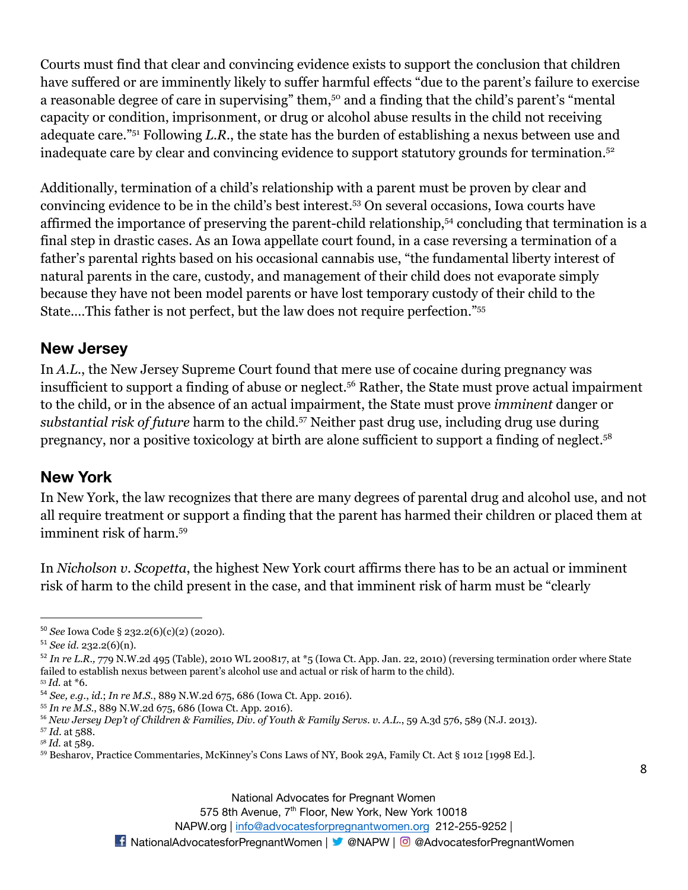Courts must find that clear and convincing evidence exists to support the conclusion that children have suffered or are imminently likely to suffer harmful effects "due to the parent's failure to exercise a reasonable degree of care in supervising" them,<sup>50</sup> and a finding that the child's parent's "mental" capacity or condition, imprisonment, or drug or alcohol abuse results in the child not receiving adequate care."<sup>51</sup> Following *L.R.*, the state has the burden of establishing a nexus between use and inadequate care by clear and convincing evidence to support statutory grounds for termination.<sup>52</sup>

Additionally, termination of a child's relationship with a parent must be proven by clear and convincing evidence to be in the child's best interest.<sup>53</sup> On several occasions, Iowa courts have affirmed the importance of preserving the parent-child relationship,<sup>54</sup> concluding that termination is a final step in drastic cases. As an Iowa appellate court found, in a case reversing a termination of a father's parental rights based on his occasional cannabis use, "the fundamental liberty interest of natural parents in the care, custody, and management of their child does not evaporate simply because they have not been model parents or have lost temporary custody of their child to the State.…This father is not perfect, but the law does not require perfection."<sup>55</sup>

#### **New Jersey**

In *A.L.*, the New Jersey Supreme Court found that mere use of cocaine during pregnancy was insufficient to support a finding of abuse or neglect.<sup>56</sup> Rather, the State must prove actual impairment to the child, or in the absence of an actual impairment, the State must prove *imminent* danger or substantial risk of future harm to the child.<sup>57</sup> Neither past drug use, including drug use during pregnancy, nor a positive toxicology at birth are alone sufficient to support a finding of neglect.<sup>58</sup>

#### **New York**

In New York, the law recognizes that there are many degrees of parental drug and alcohol use, and not all require treatment or support a finding that the parent has harmed their children or placed them at imminent risk of harm.<sup>59</sup>

In *Nicholson v. Scopetta*, the highest New York court affirms there has to be an actual or imminent risk of harm to the child present in the case, and that imminent risk of harm must be "clearly

575 8th Avenue, 7<sup>th</sup> Floor, New York, New York 10018

NAPW.org | [info@advocatesforpregnantwomen.org](mailto:info@advocatesforpregnantwomen.org) 212-255-9252 |

<sup>50</sup> *See* Iowa Code § 232.2(6)(c)(2) (2020).

<sup>51</sup> *See id.* 232.2(6)(n).

<sup>&</sup>lt;sup>52</sup> In re L.R., 779 N.W.2d 495 (Table), 2010 WL 200817, at \*5 (Iowa Ct. App. Jan. 22, 2010) (reversing termination order where State failed to establish nexus between parent's alcohol use and actual or risk of harm to the child).

<sup>53</sup> *Id.* at \*6.

<sup>54</sup> *See, e.g.*, *id.*; *In re M.S.*, 889 N.W.2d 675, 686 (Iowa Ct. App. 2016).

<sup>55</sup> *In re M.S.*, 889 N.W.2d 675, 686 (Iowa Ct. App. 2016).

<sup>56</sup> *New Jersey Dep't of Children & Families, Div. of Youth & Family Servs. v. A.L*., 59 A.3d 576, 589 (N.J. 2013).

<sup>57</sup> *Id.* at 588.

<sup>58</sup> *Id.* at 589.

<sup>59</sup> Besharov, Practice Commentaries, McKinney's Cons Laws of NY, Book 29A, Family Ct. Act § 1012 [1998 Ed.].